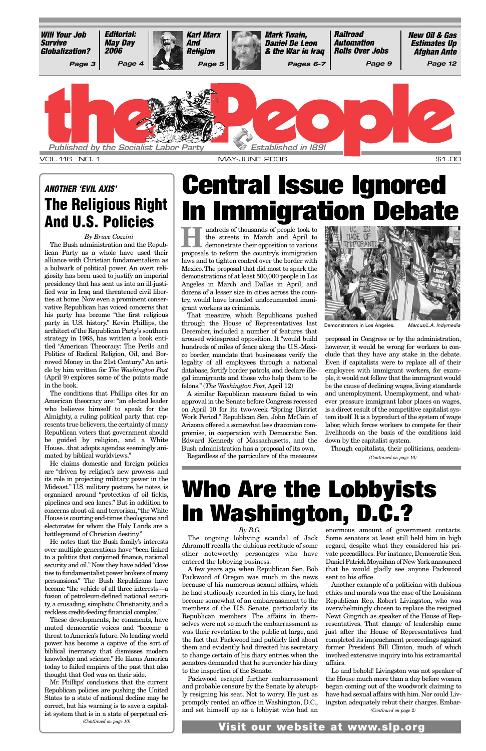**Hundreds of thousands of people took to**<br>the streets in March and April to<br>demonstrate their opposition to various the streets in March and April to proposals to reform the country's immigration laws and to tighten control over the border with Mexico. The proposal that did most to spark the demonstrations of at least 500,000 people in Los Angeles in March and Dallas in April, and dozens of a lesser size in cities across the country, would have branded undocumented immigrant workers as criminals.

That measure, which Republicans pushed through the House of Representatives last December, included a number of features that aroused widespread opposition. It "would build hundreds of miles of fence along the U.S.-Mexico border, mandate that businesses verify the legality of all employees through a national database, fortify border patrols, and declare illegal immigrants and those who help them to be felons." (*The Washington Post*, April 12)

A similar Republican measure failed to win approval in the Senate before Congress recessed on April 10 for its two-week "Spring District Work Period." Republican Sen. John McCain of Arizona offered a somewhat less draconian compromise, in cooperation with Democratic Sen. Edward Kennedy of Massachusetts, and the Bush administration has a proposal of its own.

Regardless of the particulars of the measures



Demonstrators in Los Angeles. Marcus/L.A. Indymedia

proposed in Congress or by the administration, however, it would be wrong for workers to conclude that they have any stake in the debate. Even if capitalists were to replace all of their employees with immigrant workers, for example,it would not follow that the immigrant would be the cause of declining wages, living standards and unemployment. Unemployment, and whatever pressure immigrant labor places on wages, is a direct result of the competitive capitalist system itself. It is a byproduct of the system of wage labor, which forces workers to compete for their livelihoods on the basis of the conditions laid down by the capitalist system.

Though capitalists, their politicians, academ-

## **Central Issue Ignored In Immigration Debate**

*By B.G.*

other noteworthy personages who have entered the lobbying business.

A few years ago, when Republican Sen. Bob Packwood of Oregon was much in the news because of his numerous sexual affairs, which he had studiously recorded in his diary, he had become somewhat of an embarrassment to the members of the U.S. Senate, particularly its Republican members. The affairs in themselves were not so much the embarrassment as was their revelation to the public at large, and the fact that Packwood had publicly lied about them and evidently had directed his secretary to change certain of his diary entries when the senators demanded that he surrender his diary to the inspection of the Senate.

Packwood escaped further embarrassment and probable censure by the Senate by abruptly resigning his seat. Not to worry. He just as promptly rented an office in Washington, D.C., and set himself up as a lobbyist who had an

The ongoing lobbying scandal of Jack Some senators at least still held him in high Abramoff recalls the dubious rectitude of some regard, despite what they considered his prienormous amount of government contacts. vate peccadilloes. For instance, Democratic Sen. Daniel Patrick Moynihan of New York announced that he would gladly see anyone Packwood sent to his office. Another example of a politician with dubious ethics and morals was the case of the Louisiana Republican Rep. Robert Livingston, who was overwhelmingly chosen to replace the resigned Newt Gingrich as speaker of the House of Representatives. That change of leadership came just after the House of Representatives had completed its impeachment proceedings against former President Bill Clinton, much of which involved extensive inquiry into his extramarital affairs. Lo and behold! Livingston was not speaker of the House much more than a day before women began coming out of the woodwork claiming to have had sexual affairs with him. Nor could Livingston adequately rebut their charges. Embar-

## **Who Are the Lobbyists In Washington, D.C.?**

*By Bruce Cozzini*

The Bush administration and the Republican Party as a whole have used their alliance with Christian fundamentalism as a bulwark of political power. An overt religiosity has been used to justify an imperial presidency that has sent us into an ill-justified war in Iraq and threatened civil liberties at home. Now even a prominent conservative Republican has voiced concerns that his party has become "the first religious party in U.S. history." Kevin Phillips, the architect of the Republican Party's southern strategy in 1968, has written a book entitled "American Theocracy: The Perils and Politics of Radical Religion, Oil, and Borrowed Money in the 21st Century." An article by him written for *The Washington Post* (April 9) explores some of the points made in the book.



The conditions that Phillips cites for an American theocracy are: "an elected leader who believes himself to speak for the Almighty, a ruling political party that represents true believers, the certainty of many Republican voters that government should be guided by religion, and a White House...that adopts agendas seemingly animated by biblical worldviews."

He claims domestic and foreign policies are "driven by religion's new prowess and its role in projecting military power in the Mideast." U.S. military posture, he notes, is organized around "protection of oil fields, pipelines and sea lanes." But in addition to concerns about oil and terrorism,"the White House is courting end-times theologians and electorates for whom the Holy Lands are a battleground of Christian destiny."

He notes that the Bush family's interests over multiple generations have "been linked

to a politics that conjoined finance, national security and oil." Now they have added "close ties to fundamentalist power brokers of many persuasions." The Bush Republicans have become "the vehicle of all three interests—a fusion of petroleum-defined national security, a crusading, simplistic Christianity, and a reckless credit-feeding financial complex."

These developments, he comments, have muted democratic voices and "become a threat to America's future. No leading world power has become a captive of the sort of biblical inerrancy that dismisses modern knowledge and science." He likens America today to failed empires of the past that also thought that God was on their side.

### **ANOTHER 'EVIL AXIS' The Religious Right And U.S. Policies**

*(Continued on page 2)*

Mr. Phillips' conclusions that the current Republican policies are pushing the United States to a state of national decline may be correct, but his warning is to save a capitalist system that is in a state of perpetual cri-*(Continued on page 10)*

**Visit our website at www.slp.org**

*(Continued on page 10)*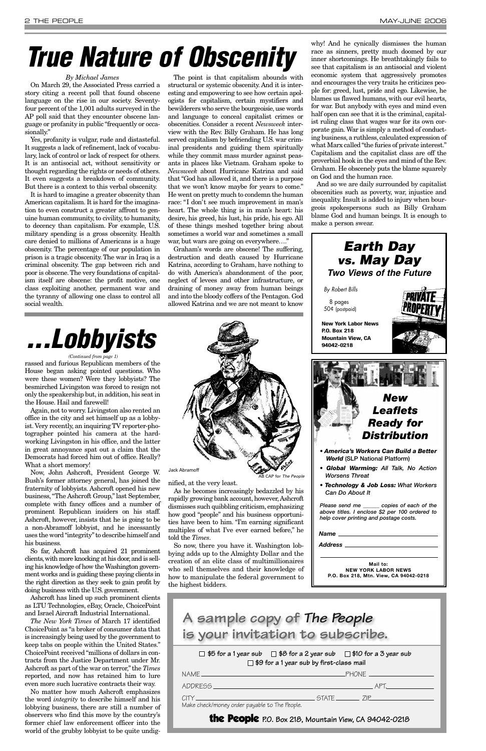rassed and furious Republican members of the House began asking pointed questions. Who were these women? Were they lobbyists? The besmirched Livingston was forced to resign not only the speakership but, in addition, his seat in the House. Hail and farewell!

Again, not to worry. Livingston also rented an office in the city and set himself up as a lobbyist.Very recently, an inquiring TV reporter-photographer pointed his camera at the hardworking Livingston in his office, and the latter in great annoyance spat out a claim that the Democrats had forced him out of office. Really? What a short memory!

Now, John Ashcroft, President George W. Bush's former attorney general, has joined the fraternity of lobbyists. Ashcroft opened his new business, "The Ashcroft Group," last September, complete with fancy offices and a number of prominent Republican insiders on his staff. Ashcroft, however, insists that he is going to be a non-Abramoff lobbyist, and he incessantly uses the word "integrity"to describe himself and his business.

So far, Ashcroft has acquired 21 prominent clients,with more knocking at his door,and is selling his knowledge of how the Washington government works and is guiding these paying clients in the right direction as they seek to gain profit by doing business with the U.S. government.

Ashcroft has lined up such prominent clients as LTU Technologies, eBay, Oracle, ChoicePoint and Israel Aircraft Industrial International.

*The New York Times* of March 17 identified ChoicePoint as "a broker of consumer data that is increasingly being used by the government to keep tabs on people within the United States." ChoicePoint received "millions of dollars in contracts from the Justice Department under Mr. Ashcroft as part of the war on terror," the *Times* reported, and now has retained him to lure even more such lucrative contracts their way.

Yes, profanity is vulgar, rude and distasteful. It suggests a lack of refinement, lack of vocabulary, lack of control or lack of respect for others. It is an antisocial act, without sensitivity or thought regarding the rights or needs of others. It even suggests a breakdown of community. But there is a context to this verbal obscenity.

No matter how much Ashcroft emphasizes the word *integrity* to describe himself and his lobbying business, there are still a number of observers who find this move by the country's former chief law enforcement officer into the world of the grubby lobbyist to be quite undignified, at the very least.

As he becomes increasingly bedazzled by his rapidly growing bank account, however,Ashcroft dismisses such quibbling criticism, emphasizing how good "people" and his business opportunities have been to him. "I'm earning significant multiples of what I've ever earned before," he told the *Times*.

So now, there you have it. Washington lobbying adds up to the Almighty Dollar and the creation of an elite class of multimillionaires who sell themselves and their knowledge of how to manipulate the federal government to the highest bidders.



#### *By Michael James*

On March 29, the Associated Press carried a story citing a recent poll that found obscene language on the rise in our society. Seventyfour percent of the 1,001 adults surveyed in the AP poll said that they encounter obscene language or profanity in public "frequently or occasionally."

> $\Box$  \$5 for a 1 year sub  $\Box$  \$8 for a 2 year sub  $\Box$  \$10 for a 3 year sub **\$9 for a 1 year sub by first-class mail**

It is hard to imagine a greater obscenity than American capitalism. It is hard for the imagination to even construct a greater affront to genuine human community, to civility, to humanity, to decency than capitalism. For example, U.S. military spending is a gross obscenity. Health care denied to millions of Americans is a huge obscenity. The percentage of our population in prison is a tragic obscenity. The war in Iraq is a criminal obscenity. The gap between rich and poor is obscene.The very foundations of capitalism itself are obscene: the profit motive, one class exploiting another, permanent war and the tyranny of allowing one class to control all social wealth.

The point is that capitalism abounds with structural or systemic obscenity. And it is interesting and empowering to see how certain apologists for capitalism, certain mystifiers and bewilderers who serve the bourgeoisie, use words and language to conceal capitalist crimes or obscenities. Consider a recent *Newsweek* interview with the Rev. Billy Graham. He has long served capitalism by befriending U.S. war criminal presidents and guiding them spiritually while they commit mass murder against peasants in places like Vietnam. Graham spoke to *Newsweek* about Hurricane Katrina and said that "God has allowed it, and there is a purpose that we won't know maybe for years to come." He went on pretty much to condemn the human race: "I don't see much improvement in man's heart. The whole thing is in man's heart: his desire, his greed, his lust, his pride, his ego. All of these things meshed together bring about sometimes a world war and sometimes a small war, but wars are going on everywhere…."

Graham's words are obscene! The suffering, destruction and death caused by Hurricane Katrina, according to Graham, have nothing to do with America's abandonment of the poor, neglect of levees and other infrastructure, or draining of money away from human beings and into the bloody coffers of the Pentagon. God allowed Katrina and we are not meant to know

why! And he cynically dismisses the human race as sinners, pretty much doomed by our inner shortcomings. He breathtakingly fails to see that capitalism is an antisocial and violent economic system that aggressively promotes and encourages the very traits he criticizes people for: greed, lust, pride and ego. Likewise, he blames us flawed humans, with our evil hearts, for war. But anybody with eyes and mind even half open can see that it is the criminal, capitalist ruling class that wages war for its own corporate gain. War is simply a method of conducting business, a ruthless, calculated expression of what Marx called "the furies of private interest." Capitalism and the capitalist class are off the proverbial hook in the eyes and mind of the Rev. Graham. He obscenely puts the blame squarely on God and the human race.

And so we are daily surrounded by capitalist obscenities such as poverty, war, injustice and inequality. Insult is added to injury when bourgeois spokespersons such as Billy Graham blame God and human beings. It is enough to make a person swear.

| <b>NAMF</b><br>이 사이 시간 사이에 대한 사이에 대한 사이에 대한 사이에 대한 사이에 대한 사이에 대한 사이를 하고 있다.                                                 |           |  |
|-----------------------------------------------------------------------------------------------------------------------------|-----------|--|
| ADDRESS ADDRESS<br>이 사이 시간 사이에 대한 사이에 대한 사이에 대한 사이에 대한 사이에 대한 사이에 대한 사이를 하고 있다.                                             |           |  |
| $\cap$ TY<br>a sa kabilang sa kabupatèn Kabupatèn Kabupatèn Kabupatèn Kabupatèn Kabupatèn Kabupatèn Kabupatèn Kabupatèn Kab | STATE 71P |  |
| Make check/money order payable to The People.                                                                               |           |  |

the People **P.O. Box 218, Mountain View, CA 94042-0218**

### **A sample copy of The People is your invitation to subscribe.**

## **True Nature of Obscenity**

## **. . . Lobbyists**



*Address*

**Mail to: NEW YORK LABOR NEWS P.O. Box 218, Mtn. View, CA 94042-0218**

*(Continued from page 1)*

AB CAP for The People

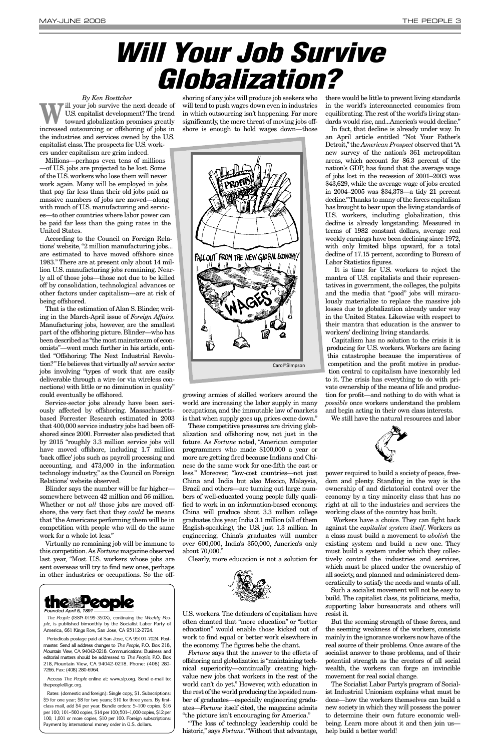#### *By Ken Boettcher*

W<sup>ill</sup> your job survive the next decade of<br>toward globalization promises greatly<br>increased outcoursing on offshering of isla in U.S. capitalist development? The trend increased outsourcing or offshoring of jobs in the industries and services owned by the U.S. capitalist class.The prospects for U.S. work-

ers under capitalism are grim indeed. Millions—perhaps even tens of millions

—of U.S. jobs are projected to be lost. Some of the U.S. workers who lose them will never work again. Many will be employed in jobs that pay far less than their old jobs paid as massive numbers of jobs are moved—along with much of U.S. manufacturing and services—to other countries where labor power can be paid far less than the going rates in the United States.

According to the Council on Foreign Relations' website, "2 million manufacturing jobs... are estimated to have moved offshore since 1983." There are at present only about 14 million U.S. manufacturing jobs remaining. Nearly all of those jobs—those not due to be killed off by consolidation, technological advances or other factors under capitalism—are at risk of being offshored.

That is the estimation of Alan S. Blinder, writing in the March-April issue of *Foreign Affairs*. Manufacturing jobs, however, are the smallest part of the offshoring picture. Blinder—who has been described as "the most mainstream of economists"—went much further in his article, entitled "Offshoring: The Next Industrial Revolution?"He believes that virtually *all service sector* jobs involving "types of work that are easily deliverable through a wire (or via wireless connections) with little or no diminution in quality" could eventually be offshored.

> These competitive pressures are driving globalization and offshoring now, not just in the future. As *Fortune* noted, "American computer programmers who made \$100,000 a year or more are getting fired because Indians and Chinese do the same work for one-fifth the cost or less." Moreover, "low-cost countries—not just China and India but also Mexico, Malaysia, Brazil and others—are turning out large numbers of well-educated young people fully qualified to work in an information-based economy. China will produce about 3.3 million college graduates this year, India 3.1 million (all of them English-speaking), the U.S. just 1.3 million. In engineering, China's graduates will number over 600,000, India's 350,000, America's only bout 70,000."

Service-sector jobs already have been seriously affected by offshoring. Massachusettsbased Forrester Research estimated in 2003 that 400,000 service industry jobs had been offshored since 2000. Forrester also predicted that by 2015 "roughly 3.3 million service jobs will have moved offshore, including 1.7 million 'back office' jobs such as payroll processing and accounting, and 473,000 in the information technology industry," as the Council on Foreign Relations' website observed.

Blinder says the number will be far higher somewhere between 42 million and 56 million. Whether or not *all* those jobs are moved offshore, the very fact that they *could* be means that "the Americans performing them will be in competition with people who will do the same work for a whole lot less."

Virtually no remaining job will be immune to this competition.As *Fortune* magazine observed last year, "Most U.S. workers whose jobs are sent overseas will try to find new ones, perhaps in other industries or occupations. So the off-

shoring of any jobs will produce job seekers who will tend to push wages down even in industries in which outsourcing isn't happening. Far more significantly, the mere threat of moving jobs offshore is enough to hold wages down—those

growing armies of skilled workers around the world are increasing the labor supply in many occupations, and the immutable law of markets is that when supply goes up, prices come down."

Clearly, more education is not a solution for



U.S. workers. The defenders of capitalism have often chanted that "more education" or "better education" would enable those kicked out of work to find equal or better work elsewhere in the economy. The figures belie the chant.

*Fortune* says that the answer to the effects of offshoring and globalization is "maintaining technical superiority—continually creating highvalue new jobs that workers in the rest of the world can't do yet." However, with education in the rest of the world producing the lopsided number of graduates—especially engineering graduates—*Fortune* itself cited, the magazine admits "the picture isn't encouraging for America."

"The loss of technology leadership could be historic," says *Fortune*. "Without that advantage,

there would be little to prevent living standards in the world's interconnected economies from equilibrating.The rest of the world's living standards would rise, and...America's would decline."

In fact, that decline is already under way. In an April article entitled "Not Your Father's Detroit,"the *American Prospect* observed that "A new survey of the nation's 361 metropolitan areas, which account for 86.3 percent of the nation's GDP, has found that the average wage of jobs lost in the recession of 2001–2003 was \$43,629, while the average wage of jobs created in 2004–2005 was \$34,378—a tidy 21 percent decline."Thanks to many of the forces capitalism has brought to bear upon the living standards of U.S. workers, including globalization, this decline is already longstanding. Measured in terms of 1982 constant dollars, average real weekly earnings have been declining since 1972, with only limited blips upward, for a total decline of 17.15 percent, according to Bureau of Labor Statistics figures.

It is time for U.S. workers to reject the mantra of U.S. capitalists and their representatives in government, the colleges, the pulpits and the media that "good" jobs will miraculously materialize to replace the massive job losses due to globalization already under way in the United States. Likewise with respect to their mantra that education is the answer to workers' declining living standards.

Capitalism has no solution to the crisis it is producing for U.S. workers. Workers are facing this catastrophe because the imperatives of competition and the profit motive in production central to capitalism have inexorably led to it. The crisis has everything to do with private ownership of the means of life and production for profit—and nothing to do with what is *possible* once workers understand the problem and begin acting in their own class interests.

We still have the natural resources and labor



power required to build a society of peace, freedom and plenty. Standing in the way is the ownership of and dictatorial control over the economy by a tiny minority class that has no right at all to the industries and services the working class of the country has built.

Workers have a choice. They can fight back against the *capitalist system itself*. Workers as a class must build a movement to *abolish* the existing system and build a new one. They must build a system under which they collectively control the industries and services, which must be placed under the ownership of all society, and planned and administered democratically to satisfy the needs and wants of all.

Such a socialist movement will not be easy to build. The capitalist class, its politicians, media, supporting labor bureaucrats and others will resist it.

But the seeming strength of those forces, and the seeming weakness of the workers, consists mainly in the ignorance workers now have of the real source of their problems. Once aware of the socialist answer to those problems, and of their potential strength as the creators of all social wealth, the workers can forge an invincible movement for real social change.

The Socialist Labor Party's program of Socialist Industrial Unionism explains what must be done—how the workers themselves can build a new society in which they will possess the power to determine their own future economic wellbeing. Learn more about it and then join us help build a better world!

## **Will Your Job Survive Globalization?**



*The People* (ISSN-0199-350X), continuing the *Weekly People*, is published bimonthly by the Socialist Labor Party of America, 661 Kings Row, San Jose, CA 95112-2724.

Periodicals postage paid at San Jose, CA 95101-7024. Postmaster: Send all address changes to *The People*, P.O. Box 218, Mountain View, CA 94042-0218. Communications: Business and editorial matters should be addressed to *The People*, P.O. Box 218, Mountain View, CA 94042-0218. Phone: (408) 280- 7266. Fax: (408) 280-6964.

Access *The People* online at: www.slp.org. Send e-mail to: thepeople@igc.org.

Rates: (domestic and foreign): Single copy, \$1. Subscriptions: \$5 for one year; \$8 for two years; \$10 for three years. By firstclass mail, add \$4 per year. Bundle orders: 5–100 copies, \$16 per 100; 101–500 copies, \$14 per 100; 501–1,000 copies, \$12 per 100; 1,001 or more copies, \$10 per 100. Foreign subscriptions: Payment by international money order in U.S. dollars.

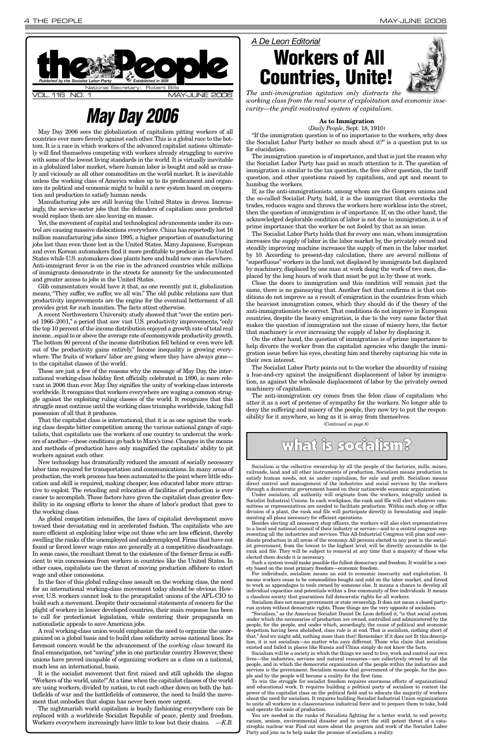### **As to Immigration**

(*Daily People*, Sept. 18, 1910) "If the immigration question is of no importance to the workers, why does the Socialist Labor Party bother so much about it?" is a question put to us for elucidation.

The immigration question is of importance, and that is just the reason why the Socialist Labor Party has paid so much attention to it. The question of immigration is similar to the tax question, the free silver question, the tariff question, and other questions raised by capitalism, and apt and meant to humbug the workers.

If, as the anti-immigrationists, among whom are the Gompers unions and the so-called Socialist Party, hold, it is the immigrant that overstocks the trades, reduces wages and throws the workers here workless into the street, then the question of immigration is of importance. If, on the other hand, the acknowledged deplorable condition of labor is not due to immigration, it is of prime importance that the worker be not fooled by that as an issue.

The Socialist Labor Party holds that for every one man, whom immigration increases the supply of labor in the labor market by, the privately owned and steadily improving machine increases the supply of men in the labor market by 10. According to present-day calculation, there are several millions of "superfluous" workers in the land, not displaced by immigrants but displaced by machinery, displaced by one man at work doing the work of two men, displaced by the long hours of work that must be put in by those at work.

Close the doors to immigration and this condition will remain just the same, there is no gainsaying that. Another fact that confirms it is that conditions do not improve as a result of emigration in the countries from which the heaviest immigration comes, which they should do if the theory of the anti-immigrationists be correct. That conditions do not improve in European countries, despite the heavy emigration, is due to the very same factor that makes the question of immigration not the cause of misery here, the factor that machinery is ever increasing the supply of labor by displacing it.

On the other hand, the question of immigration is of prime importance to help divorce the worker from the capitalist agencies who dangle the immigration issue before his eyes, cheating him and thereby capturing his vote in their own interest.

The Socialist Labor Party points out to the worker the absurdity of raising a hue-and-cry against the insignificant displacement of labor by immigration, as against the wholesale displacement of labor by the privately owned machinery of capitalism.

The anti-immigration cry comes from the felon class of capitalism who utter it as a sort of pretense of sympathy for the workers. No longer able to deny the suffering and misery of the people, they now try to put the responsibility for it anywhere, so long as it is away from themselves.

*A De Leon Editorial*

### **Workers of All Countries, Unite!**



*The anti-immigration agitation only distracts the working class from the real source of exploitation and economic insecurity—the profit-motivated system of capitalism.*

May Day 2006 sees the globalization of capitalism pitting workers of all countries ever more fiercely against each other.This is a global race to the bottom. It is a race in which workers of the advanced capitalist nations ultimately will find themselves competing with workers already struggling to survive with some of the lowest living standards in the world. It is virtually inevitable in a globalized labor market, where human labor is bought and sold as crassly and viciously as all other commodities on the world market. It is inevitable unless the working class of America wakes up to its predicament and organizes its political and economic might to build a new system based on cooperation and production to satisfy human needs.

Manufacturing jobs are still leaving the United States in droves. Increasingly, the service-sector jobs that the defenders of capitalism once predicted would replace them are also leaving en masse.

Yet, the movement of capital and technological advancements under its control are causing massive dislocations everywhere. China has reportedly lost 16 million manufacturing jobs since 1995, a higher proportion of manufacturing jobs lost than even those lost in the United States. Many Japanese, European and even Korean automakers find it more profitable to produce in the United States while U.S. automakers close plants here and build new ones elsewhere. Anti-immigrant fever is on the rise in the advanced countries while millions of immigrants demonstrate in the streets for amnesty for the undocumented and greater access to jobs in the United States.

Glib commentators would have it that, as one recently put it, globalization means, "They suffer, we suffer, we all win." The old public relations saw that productivity improvements are the engine for the eventual betterment of all provides grist for such inanities. The facts attest otherwise.

A recent Northwestern University study showed that "over the entire period 1966–2001," a period that saw vast U.S. productivity improvements, "only the top 10 percent of the income distribution enjoyed a growth rate of total real income...equal to or above the average rate of economywide productivity growth. The bottom 90 percent of the income distribution fell behind or even were left out of the productivity gains entirely." Income inequality is growing everywhere. The fruits of workers' labor are going where they have always gone to the capitalist classes of the world.

These are just a few of the reasons why the message of May Day, the international working-class holiday first officially celebrated in 1890, is more relevant in 2006 than ever. May Day signifies the unity of working-class interests worldwide. It recognizes that workers everywhere are waging a common struggle against the exploiting ruling classes of the world. It recognizes that this struggle must continue until the working class triumphs worldwide, taking full possession of all that it produces.



That the capitalist class is international, that it is as one against the working class despite bitter competition among the various national gangs of capitalists, that capitalists use the workers of one country to undercut the workers of another—these conditions go back to Marx's time.Changes in the means and methods of production have only magnified the capitalists' ability to pit workers against each other.

New technology has dramatically reduced the amount of socially necessary labor time required for transportation and communications. In many areas of production, the work process has been automated to the point where little education and skill is required, making cheaper, less educated labor more attractive to exploit. The retooling and relocation of facilities of production is ever easier to accomplish.These factors have given the capitalist class greater flexibility in its ongoing efforts to lower the share of labor's product that goes to the working class.

As global competition intensifies, the laws of capitalist development move toward their devastating end in accelerated fashion. The capitalists who are more efficient at exploiting labor wipe out those who are less efficient, thereby swelling the ranks of the unemployed and underemployed. Firms that have not found or forced lower wage rates are generally at a competitive disadvantage. In some cases, the resultant threat to the existence of the former firms is sufficient to win concessions from workers in countries like the United States. In other cases, capitalists use the threat of moving production offshore to extort wage and other concessions. In the face of this global ruling-class assault on the working class, the need for an international working-class movement today should be obvious. However, U.S. workers cannot look to the procapitalist unions of the AFL-CIO to build such a movement. Despite their occasional statements of concern for the plight of workers in lesser developed countries, their main response has been to call for protectionist legislation, while centering their propaganda on nationalistic appeals to save American jobs. A real working-class union would emphasize the need to organize the unorganized on a global basis and to build class solidarity across national lines. Its foremost concern would be the advancement of the *working class* toward its final emancipation, not "saving" jobs in one particular country. However, these unions have proved incapable of organizing workers as a class on a national, much less an international, basis. It is the socialist movement that first raised and still upholds the slogan "Workers of the world,unite!"At a time when the capitalist classes of the world are using workers, divided by nation, to cut each other down on both the battlefields of war and the battlefields of commerce, the need to build the movement that embodies that slogan has never been more urgent. The nightmarish world capitalism is busily fashioning everywhere can be replaced with a worldwide Socialist Republic of peace, plenty and freedom. Workers everywhere increasingly have little to lose but their chains. *—K.B.*

### **May Day 2006**

Socialism is the collective ownership by all the people of the factories, mills, mines, railroads, land and all other instruments of production. Socialism means production to satisfy human needs, not as under capitalism, for sale and profit. Socialism means direct control and management of the industries and social services by the workers through a democratic government based on their nationwide economic organization.

Under socialism, all authority will originate from the workers, integrally united in Socialist Industrial Unions. In each workplace, the rank and file will elect whatever committees or representatives are needed to facilitate production. Within each shop or office division of a plant, the rank and file will participate directly in formulating and implementing all plans necessary for efficient operations.

Besides electing all necessary shop officers, the workers will also elect representatives to a local and national council of their industry or service—and to a central congress representing all the industries and services. This All-Industrial Congress will plan and coordinate production in all areas of the economy. All persons elected to any post in the socialist government, from the lowest to the highest level, will be directly accountable to the and file. They will be subject to removal at any elected them decide it is necessary.

Such a system would make possible the fullest democracy and freedom. It would be a society based on the most primary freedom—economic freedom.

For individuals, socialism means an end to economic insecurity and exploitation. It means workers cease to be commodities bought and sold on the labor market, and forced to work as appendages to tools owned by someone else. It means a chance to develop all individual capacities and potentials within a free community of free individuals. It means a classless society that guarantees full democratic rights for all workers.

Socialism does not mean government or state ownership. It does not mean a closed partyrun system without democratic rights. Those things are the very opposite of socialism.

"Socialism," as the American Socialist Daniel De Leon defined it, "is that social system under which the necessaries of production are owned, controlled and administered by the people, for the people, and under which, accordingly, the cause of political and economic despotism having been abolished, class rule is at end. That is socialism, nothing short of that." And we might add, nothing more than that! Remember: If it does not fit this description, it is not socialism—no matter who says different. Those who claim that socialism existed and failed in places like Russia and China simply do not know the facts.

Socialism will be a society in which the things we need to live, work and control our own lives—the industries, services and natural resources—are collectively owned by all the people, and in which the democratic organization of the people within the industries and services is the government. Socialism means that government of the people, for the people and by the people will become a reality for the first time.

To win the struggle for socialist freedom requires enormous efforts of organizational and educational work. It requires building a political party of socialism to contest the power of the capitalist class on the political field and to educate the majority of workers about the need for socialism. It requires building Socialist Industrial Union organizations to unite all workers in a classconscious industrial force and to prepare them to take, hold and operate the tools of production.

You are needed in the ranks of Socialists fighting for a better world, to end poverty, racism, sexism, environmental disaster and to avert the still potent threat of a catastrophic nuclear war. Find out more about the program and work of the Socialist Labor Party and join us to help make the promise of socialism a reality.

*(Continued on page 8)*

### what is socialism?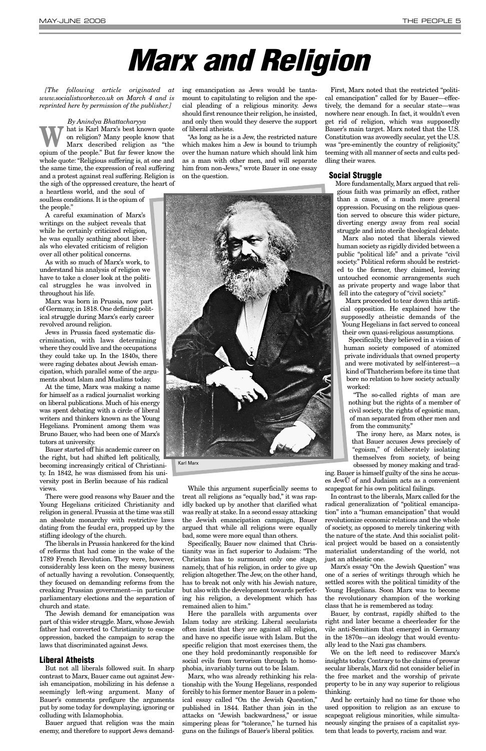*[The following article originated at www.socialistworker.co.uk on March 4 and is reprinted here by permission of the publisher.]* 

*By Anindya Bhattacharyya* Marx's best known quote<br>
on religion? Many people know that<br>
Marx described religion as "the<br>
onium of the people" But for four linear the on religion? Many people know that Marx described religion as "the opium of the people." But far fewer know the whole quote: "Religious suffering is, at one and the same time, the expression of real suffering and a protest against real suffering. Religion is the sigh of the oppressed creature, the heart of

a heartless world, and the soul of soulless conditions. It is the opium of the people."

A careful examination of Marx's writings on the subject reveals that while he certainly criticized religion, he was equally scathing about liberals who elevated criticism of religion over all other political concerns.

As with so much of Marx's work, to understand his analysis of religion we have to take a closer look at the political struggles he was involved in throughout his life.

Marx was born in Prussia, now part of Germany, in 1818. One defining political struggle during Marx's early career revolved around religion.

Jews in Prussia faced systematic discrimination, with laws determining where they could live and the occupations they could take up. In the 1840s, there were raging debates about Jewish emancipation, which parallel some of the arguments about Islam and Muslims today.

At the time, Marx was making a name for himself as a radical journalist working on liberal publications. Much of his energy was spent debating with a circle of liberal writers and thinkers known as the Young Hegelians. Prominent among them was Bruno Bauer, who had been one of Marx's tutors at university.

Bauer started off his academic career on the right, but had shifted left politically, becoming increasingly critical of Christianity. In 1842, he was dismissed from his university post in Berlin because of his radical views.

There were good reasons why Bauer and the Young Hegelians criticized Christianity and religion in general. Prussia at the time was still an absolute monarchy with restrictive laws dating from the feudal era, propped up by the stifling ideology of the church.

The liberals in Prussia hankered for the kind of reforms that had come in the wake of the 1789 French Revolution. They were, however, considerably less keen on the messy business of actually having a revolution. Consequently, they focused on demanding reforms from the creaking Prussian government—in particular parliamentary elections and the separation of church and state. The Jewish demand for emancipation was part of this wider struggle. Marx, whose Jewish father had converted to Christianity to escape oppression, backed the campaign to scrap the laws that discriminated against Jews.

### **Liberal Atheists**

But not all liberals followed suit. In sharp contrast to Marx, Bauer came out against Jewish emancipation, mobilizing in his defense a seemingly left-wing argument. Many of Bauer's comments prefigure the arguments put by some today for downplaying, ignoring or colluding with Islamophobia.

Bauer argued that religion was the main enemy, and therefore to support Jews demanding emancipation as Jews would be tantamount to capitulating to religion and the special pleading of a religious minority. Jews should first renounce their religion, he insisted, and only then would they deserve the support of liberal atheists.

"As long as he is a Jew, the restricted nature which makes him a Jew is bound to triumph over the human nature which should link him as a man with other men, and will separate him from non-Jews," wrote Bauer in one essay on the question.

While this argument superficially seems to treat all religions as "equally bad," it was rapidly backed up by another that clarified what was really at stake. In a second essay attacking the Jewish emancipation campaign, Bauer argued that while all religions were equally bad, some were more equal than others.

Specifically, Bauer now claimed that Christianity was in fact superior to Judaism: "The Christian has to surmount only one stage, namely, that of his religion, in order to give up religion altogether. The Jew, on the other hand, has to break not only with his Jewish nature, but also with the development towards perfecting his religion, a development which has remained alien to him." Here the parallels with arguments over Islam today are striking. Liberal secularists often insist that they are against all religion, and have no specific issue with Islam. But the specific religion that most exercises them, the one they hold predominantly responsible for social evils from terrorism through to homophobia, invariably turns out to be Islam. Marx, who was already rethinking his relationship with the Young Hegelians, responded forcibly to his former mentor Bauer in a polemical essay called "On the Jewish Question," published in 1844. Rather than join in the attacks on "Jewish backwardness," or issue simpering pleas for "tolerance," he turned his guns on the failings of Bauer's liberal politics.

First, Marx noted that the restricted "political emancipation" called for by Bauer—effectively, the demand for a secular state—was nowhere near enough. In fact, it wouldn't even get rid of religion, which was supposedly Bauer's main target. Marx noted that the U.S. Constitution was avowedly secular, yet the U.S. was "pre-eminently the country of religiosity," teeming with all manner of sects and cults peddling their wares.

### **Social Struggle**

More fundamentally, Marx argued that religious faith was primarily an effect, rather than a cause, of a much more general oppression. Focusing on the religious question served to obscure this wider picture, diverting energy away from real social struggle and into sterile theological debate.

Marx also noted that liberals viewed human society as rigidly divided between a public "political life" and a private "civil society." Political reform should be restricted to the former, they claimed, leaving untouched economic arrangements such as private property and wage labor that fell into the category of "civil society."

Marx proceeded to tear down this artificial opposition. He explained how the supposedly atheistic demands of the Young Hegelians in fact served to conceal their own quasi-religious assumptions.

Specifically, they believed in a vision of human society composed of atomized private individuals that owned property and were motivated by self-interest—a kind of Thatcherism before its time that bore no relation to how society actually worked:

"The so-called rights of man are nothing but the rights of a member of civil society, the rights of egoistic man, of man separated from other men and from the community."

The irony here, as Marx notes, is that Bauer accuses Jews precisely of "egoism," of deliberately isolating themselves from society, of being obsessed by money making and trad-

ing. Bauer is himself guilty of the sins he accuses JewÛ of and Judaism acts as a convenient scapegoat for his own political failings.

In contrast to the liberals, Marx called for the radical generalization of "political emancipation" into a "human emancipation" that would revolutionize economic relations and the whole of society, as opposed to merely tinkering with the nature of the state. And this socialist political project would be based on a consistently materialist understanding of the world, not just an atheistic one. Marx's essay "On the Jewish Question" was one of a series of writings through which he settled scores with the political timidity of the Young Hegelians. Soon Marx was to become the revolutionary champion of the working class that he is remembered as today. Bauer, by contrast, rapidly shifted to the right and later became a cheerleader for the vile anti-Semitism that emerged in Germany in the 1870s—an ideology that would eventually lead to the Nazi gas chambers. We on the left need to rediscover Marx's insights today. Contrary to the claims of prowar secular liberals, Marx did not consider belief in the free market and the worship of private property to be in any way superior to religious thinking. And he certainly had no time for those who used opposition to religion as an excuse to scapegoat religious minorities, while simultaneously singing the praises of a capitalist system that leads to poverty, racism and war.

## **Marx and Religion**

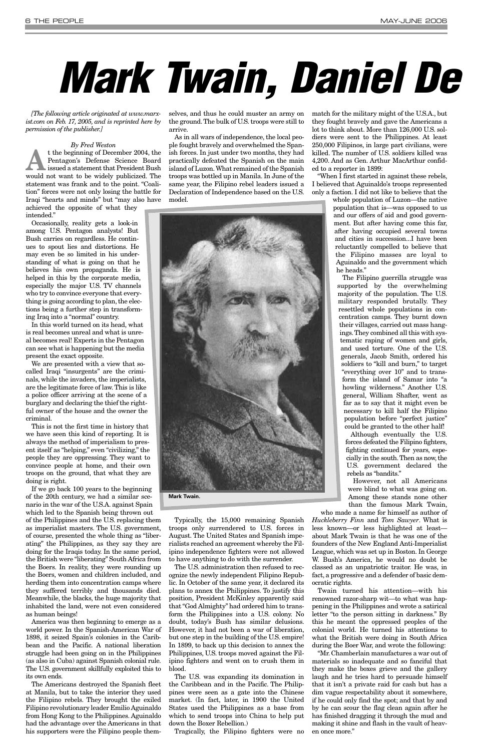*[The following article originated at www.marxist.com on Feb. 17, 2005, and is reprinted here by permission of the publisher.]* 

*By Fred Weston* t the beginning of December 2004, the<br>
Pentagon's Defense Science Board<br>
issued a statement that President Bush<br>
would not wont to be widely publisized. The Pentagon's Defense Science Board would not want to be widely publicized. The statement was frank and to the point. "Coalition" forces were not only losing the battle for Iraqi "hearts and minds" but "may also have achieved the opposite of what they

intended."

Occasionally, reality gets a look-in among U.S. Pentagon analysts! But Bush carries on regardless. He continues to spout lies and distortions. He may even be so limited in his understanding of what is going on that he believes his own propaganda. He is helped in this by the corporate media, especially the major U.S. TV channels who try to convince everyone that everything is going according to plan, the elections being a further step in transforming Iraq into a "normal" country.

In this world turned on its head, what is real becomes unreal and what is unreal becomes real! Experts in the Pentagon can see what is happening but the media present the exact opposite.

We are presented with a view that socalled Iraqi "insurgents" are the criminals, while the invaders, the imperialists, are the legitimate force of law. This is like a police officer arriving at the scene of a burglary and declaring the thief the rightful owner of the house and the owner the criminal.

This is not the first time in history that we have seen this kind of reporting. It is always the method of imperialism to present itself as "helping," even "civilizing," the people they are oppressing. They want to convince people at home, and their own troops on the ground, that what they are doing is right.

If we go back 100 years to the beginning of the 20th century, we had a similar scenario in the war of the U.S.A. against Spain which led to the Spanish being thrown out of the Philippines and the U.S. replacing them

as imperialist masters. The U.S. government, of course, presented the whole thing as "liberating" the Philippines, as they say they are doing for the Iraqis today. In the same period, the British were "liberating" South Africa from the Boers. In reality, they were rounding up the Boers, women and children included, and herding them into concentration camps where they suffered terribly and thousands died. Meanwhile, the blacks, the huge majority that inhabited the land, were not even considered as human beings! America was then beginning to emerge as a world power. In the Spanish-American War of 1898, it seized Spain's colonies in the Caribbean and the Pacific. A national liberation struggle had been going on in the Philippines (as also in Cuba) against Spanish colonial rule. The U.S. government skillfully exploited this to its own ends. The Americans destroyed the Spanish fleet at Manila, but to take the interior they used the Filipino rebels. They brought the exiled Filipino revolutionary leader Emilio Aguinaldo from Hong Kong to the Philippines. Aguinaldo had the advantage over the Americans in that his supporters were the Filipino people them-

selves, and thus he could muster an army on the ground.The bulk of U.S. troops were still to arrive.

As in all wars of independence, the local people fought bravely and overwhelmed the Spanish forces. In just under two months, they had practically defeated the Spanish on the main island of Luzon.What remained of the Spanish troops was bottled up in Manila. In June of the same year, the Filipino rebel leaders issued a Declaration of Independence based on the U.S. model.



Typically, the 15,000 remaining Spanish troops only surrendered to U.S. forces in August. The United States and Spanish imperialists reached an agreement whereby the Filipino independence fighters were not allowed to have anything to do with the surrender. The U.S. administration then refused to recognize the newly independent Filipino Republic. In October of the same year, it declared its plans to annex the Philippines. To justify this position, President McKinley apparently said that "God Almighty" had ordered him to transform the Philippines into a U.S. colony. No doubt, today's Bush has similar delusions. However, it had not been a war of liberation, but one step in the building of the U.S. empire! In 1899, to back up this decision to annex the Philippines, U.S. troops moved against the Filipino fighters and went on to crush them in blood. The U.S. was expanding its domination in the Caribbean and in the Pacific. The Philippines were seen as a gate into the Chinese market. (In fact, later, in 1900 the United States used the Philippines as a base from which to send troops into China to help put down the Boxer Rebellion.)

Tragically, the Filipino fighters were no

match for the military might of the U.S.A., but they fought bravely and gave the Americans a lot to think about. More than 126,000 U.S. soldiers were sent to the Philippines. At least 250,000 Filipinos, in large part civilians, were killed. The number of U.S. soldiers killed was 4,200. And as Gen. Arthur MacArthur confided to a reporter in 1899:

"When I first started in against these rebels, I believed that Aguinaldo's troops represented only a faction. I did not like to believe that the

> whole population of Luzon—the native population that is—was opposed to us and our offers of aid and good government. But after having come this far, after having occupied several towns and cities in succession...I have been reluctantly compelled to believe that the Filipino masses are loyal to Aguinaldo and the government which he heads."

The Filipino guerrilla struggle was supported by the overwhelming majority of the population. The U.S. military responded brutally. They resettled whole populations in concentration camps. They burnt down their villages, carried out mass hangings.They combined all this with systematic raping of women and girls, and used torture. One of the U.S. generals, Jacob Smith, ordered his soldiers to "kill and burn," to target "everything over 10" and to transform the island of Samar into "a howling wilderness." Another U.S. general, William Shafter, went as far as to say that it might even be necessary to kill half the Filipino population before "perfect justice" could be granted to the other half!

Although eventually the U.S. forces defeated the Filipino fighters, fighting continued for years, especially in the south.Then as now, the U.S. government declared the rebels as "bandits."

However, not all Americans were blind to what was going on. Among these stands none other than the famous Mark Twain,

who made a name for himself as author of *Huckleberry Finn* and *Tom Sawyer*. What is less known—or less highlighted at least about Mark Twain is that he was one of the founders of the New England Anti-Imperialist League, which was set up in Boston. In George W. Bush's America, he would no doubt be classed as an unpatriotic traitor. He was, in fact, a progressive and a defender of basic democratic rights. Twain turned his attention—with his renowned razor-sharp wit—to what was happening in the Philippines and wrote a satirical letter "to the person sitting in darkness." By this he meant the oppressed peoples of the colonial world. He turned his attentions to what the British were doing in South Africa during the Boer War, and wrote the following: "Mr. Chamberlain manufactures a war out of materials so inadequate and so fanciful that they make the boxes grieve and the gallery laugh and he tries hard to persuade himself that it isn't a private raid for cash but has a dim vague respectability about it somewhere, if he could only find the spot; and that by and by he can scour the flag clean again after he has finished dragging it through the mud and making it shine and flash in the vault of heaven once more."

**Mark Twain.**

# **Mark Twain, Daniel De**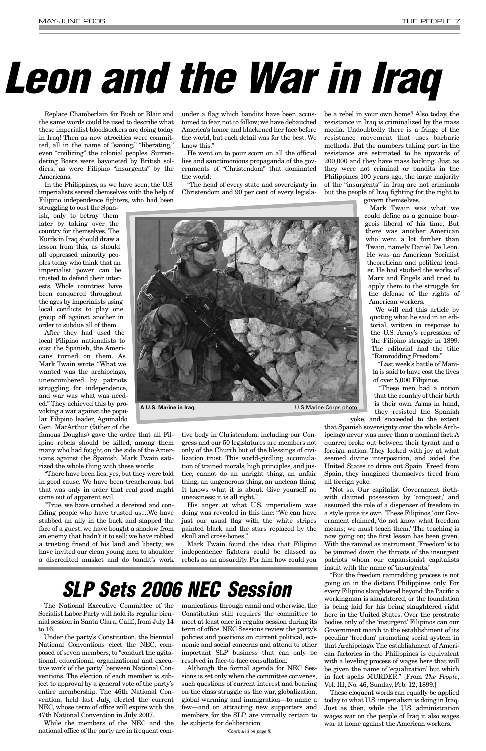Replace Chamberlain for Bush or Blair and the same words could be used to describe what these imperialist bloodsuckers are doing today in Iraq! Then as now atrocities were committed, all in the name of "saving," "liberating," even "civilizing" the colonial peoples. Surrendering Boers were bayoneted by British soldiers, as were Filipino "insurgents" by the Americans.

In the Philippines, as we have seen, the U.S. imperialists served themselves with the help of Filipino independence fighters, who had been

struggling to oust the Spanish, only to betray them later by taking over the country for themselves. The Kurds in Iraq should draw a lesson from this, as should all oppressed minority peoples today who think that an imperialist power can be trusted to defend their interests. Whole countries have been conquered throughout the ages by imperialists using local conflicts to play one group off against another in order to subdue all of them.

After they had used the local Filipino nationalists to oust the Spanish, the Americans turned on them. As Mark Twain wrote, "What we wanted was the archipelago, unencumbered by patriots struggling for independence, and war was what was needed." They achieved this by provoking a war against the popular Filipino leader, Aguinaldo. Gen. MacArthur (father of the

famous Douglas) gave the order that all Filipino rebels should be killed, among them many who had fought on the side of the Americans against the Spanish. Mark Twain satirized the whole thing with these words:

"There have been lies; yes, but they were told in good cause. We have been treacherous; but that was only in order that real good might come out of apparent evil.

under a flag which bandits have been accustomed to fear, not to follow; we have debauched America's honor and blackened her face before the world, but each detail was for the best. We know this."

He went on to pour scorn on all the official lies and sanctimonious propaganda of the governments of "Christendom" that dominated the world:

"True, we have crushed a deceived and confiding people who have trusted us....We have stabbed an ally in the back and slapped the face of a guest; we have bought a shadow from an enemy that hadn't it to sell; we have robbed a trusting friend of his land and liberty; we have invited our clean young men to shoulder independence fighters could be classed as a discredited musket and do bandit's work rebels as an absurdity. For him how could you His anger at what U.S. imperialism was doing was revealed in this line: "We can have just our usual flag with the white stripes painted black and the stars replaced by the skull and cross-bones." Mark Twain found the idea that Filipino

"The head of every state and sovereignty in Christendom and 90 per cent of every legisla-

tive body in Christendom, including our Congress and our 50 legislatures are members not only of the Church but of the blessings of civilization trust. This world-girdling accumulation of trained morals, high principles, and justice, cannot do an unright thing, an unfair thing, an ungenerous thing, an unclean thing. It knows what it is about. Give yourself no

uneasiness; it is all right."

be a rebel in your own home? Also today, the resistance in Iraq is criminalized by the mass media. Undoubtedly there is a fringe of the resistance movement that uses barbaric methods. But the numbers taking part in the resistance are estimated to be upwards of 200,000 and they have mass backing. Just as they were not criminal or bandits in the Philippines 100 years ago, the large majority of the "insurgents" in Iraq are not criminals but the people of Iraq fighting for the right to

govern themselves.

Mark Twain was what we could define as a genuine bourgeois liberal of his time. But there was another American who went a lot further than Twain, namely Daniel De Leon. He was an American Socialist theoretician and political leader. He had studied the works of Marx and Engels and tried to apply them to the struggle for the defense of the rights of American workers.

We will end this article by quoting what he said in an editorial, written in response to the U.S. Army's repression of the Filipino struggle in 1899. The editorial had the title "Ramrodding Freedom."

"Last week's battle of Manila is said to have cost the lives of over 5,000 Filipinos.

"These men had a notion that the country of their birth is their own. Arms in hand, they resisted the Spanish

yoke, and succeeded to the extent

that Spanish sovereignty over the whole Archipelago never was more than a nominal fact. A quarrel broke out between their tyrant and a foreign nation. They looked with joy at what seemed divine interposition, and aided the United States to drive out Spain. Freed from Spain, they imagined themselves freed from all foreign yoke.

"Not so. Our capitalist Government forthwith claimed possession by 'conquest,' and assumed the role of a dispenser of freedom in a style quite its own.'These Filipinos,' our Government claimed, 'do not know what freedom means; we must teach them.' The teaching is now going on; the first lesson has been given. With the ramrod as instrument, 'Freedom' is to be jammed down the throats of the insurgent patriots whom our expansionist capitalists insult with the name of 'insurgents.' "But the freedom ramrodding process is not going on in the distant Philippines only. For every Filipino slaughtered beyond the Pacific a workingman is slaughtered, or the foundation is being laid for his being slaughtered right here in the United States. Over the prostrate bodies only of the 'insurgent' Filipinos can our Government march to the establishment of its peculiar 'freedom' promoting social system in that Archipelago. The establishment of American factories in the Philippines is equivalent with a leveling process of wages here that will be given the name of 'equalization' but which in fact spells MURDER." [From *The People*, Vol. III, No. 46, Sunday, Feb. 12, 1899.] These eloquent words can equally be applied today to what U.S. imperialism is doing in Iraq. Just as then, while the U.S. administration wages war on the people of Iraq it also wages war at home against the American workers.



**A U.S. Marine in Iraq.** U.S Marine Corps photo

The National Executive Committee of the Socialist Labor Party will hold its regular biennial session in Santa Clara, Calif., from July 14 to 16.

Under the party's Constitution, the biennial National Conventions elect the NEC, composed of seven members, to "conduct the agitational, educational, organizational and executive work of the party" between National Conventions. The election of each member is subject to approval by a general vote of the party's entire membership. The 46th National Convention, held last July, elected the current NEC, whose term of office will expire with the 47th National Convention in July 2007.

While the members of the NEC and the national office of the party are in frequent communications through email and otherwise, the Constitution still requires the committee to meet at least once in regular session during its term of office. NEC Sessions review the party's policies and positions on current political, economic and social concerns and attend to other important SLP business that can only be resolved in face-to-face consultation.

Although the formal agenda for NEC Sessions is set only when the committee convenes, such questions of current interest and bearing on the class struggle as the war, globalization, global warming and immigration—to name a few—and on attracting new supporters and members for the SLP, are virtually certain to be subjects for deliberation.

### **SLP Sets 2006 NEC Session**

*(Continued on page 8)*

# **Leon and the War in Iraq**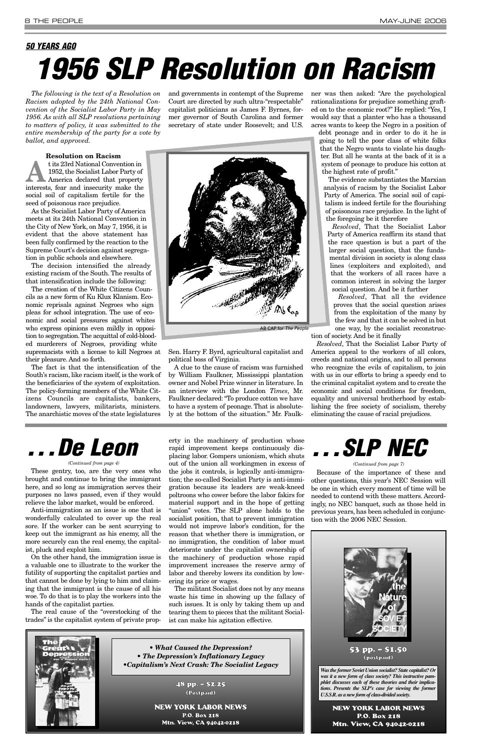*The following is the text of a Resolution on Racism adopted by the 24th National Convention of the Socialist Labor Party in May 1956. As with all SLP resolutions pertaining to matters of policy, it was submitted to the entire membership of the party for a vote by ballot, and approved.*

t its 23rd National Convention in<br>1952, the Socialist Labor Party of<br>America declared that property<br>interests fear and incommity make the 1952, the Socialist Labor Party of America declared that property interests, fear and insecurity make the social soil of capitalism fertile for the seed of poisonous race prejudice.

#### **Resolution on Racism**

As the Socialist Labor Party of America meets at its 24th National Convention in the City of New York, on May 7, 1956, it is evident that the above statement has been fully confirmed by the reaction to the Supreme Court's decision against segregation in public schools and elsewhere.

The decision intensified the already existing racism of the South. The results of that intensification include the following:

The creation of the White Citizens Councils as a new form of Ku Klux Klanism. Economic reprisals against Negroes who sign pleas for school integration. The use of economic and social pressures against whites who express opinions even mildly in opposition to segregation.The acquittal of cold-blooded murderers of Negroes, providing white supremacists with a license to kill Negroes at their pleasure. And so forth.

The fact is that the intensification of the South's racism, like racism itself, is the work of the beneficiaries of the system of exploitation. The policy-forming members of the White Citizens Councils are capitalists, bankers, landowners, lawyers, militarists, ministers. The anarchistic moves of the state legislatures

and governments in contempt of the Supreme Court are directed by such ultra-"respectable" capitalist politicians as James F. Byrnes, former governor of South Carolina and former secretary of state under Roosevelt; and U.S.

Sen. Harry F. Byrd, agricultural capitalist and political boss of Virginia.

A clue to the cause of racism was furnished by William Faulkner, Mississippi plantation owner and Nobel Prize winner in literature. In an interview with the London *Times*, Mr. Faulkner declared: "To produce cotton we have to have a system of peonage. That is absolutely at the bottom of the situation." Mr. Faulkner was then asked: "Are the psychological rationalizations for prejudice something grafted on to the economic root?" He replied: "Yes, I would say that a planter who has a thousand acres wants to keep the Negro in a position of

debt peonage and in order to do it he is going to tell the poor class of white folks that the Negro wants to violate his daughter. But all he wants at the back of it is a system of peonage to produce his cotton at the highest rate of profit."

The evidence substantiates the Marxian analysis of racism by the Socialist Labor Party of America. The social soil of capitalism is indeed fertile for the flourishing of poisonous race prejudice. In the light of the foregoing be it therefore

*Resolved*, That the Socialist Labor Party of America reaffirm its stand that the race question is but a part of the larger social question, that the fundamental division in society is along class lines (exploiters and exploited), and that the workers of all races have a common interest in solving the larger social question. And be it further

*Resolved*, That all the evidence proves that the social question arises from the exploitation of the many by the few and that it can be solved in but one way, by the socialist reconstruc-

tion of society. And be it finally

*Resolved*, That the Socialist Labor Party of America appeal to the workers of all colors, creeds and national origins, and to all persons who recognize the evils of capitalism, to join with us in our efforts to bring a speedy end to the criminal capitalist system and to create the economic and social conditions for freedom, equality and universal brotherhood by establishing the free society of socialism, thereby eliminating the cause of racial prejudices.



### **50 YEARS AGO 1956 SLP Resolution on Racism**

These gentry, too, are the very ones who brought and continue to bring the immigrant here, and so long as immigration serves their purposes no laws passed, even if they would relieve the labor market, would be enforced.

Anti-immigration as an issue is one that is wonderfully calculated to cover up the real sore. If the worker can be sent scurrying to keep out the immigrant as his enemy, all the more securely can the real enemy, the capitalist, pluck and exploit him.

On the other hand, the immigration issue is a valuable one to illustrate to the worker the futility of supporting the capitalist parties and that cannot be done by lying to him and claiming that the immigrant is the cause of all his woe. To do that is to play the workers into the hands of the capitalist parties.

The real cause of the "overstocking of the trades" is the capitalist system of private prop-



erty in the machinery of production whose rapid improvement keeps continuously displacing labor. Gompers unionism, which shuts out of the union all workingmen in excess of the jobs it controls, is logically anti-immigration; the so-called Socialist Party is anti-immigration because its leaders are weak-kneed poltroons who cower before the labor fakirs for material support and in the hope of getting "union" votes. The SLP alone holds to the socialist position, that to prevent immigration would not improve labor's condition, for the reason that whether there is immigration, or no immigration, the condition of labor must deteriorate under the capitalist ownership of the machinery of production whose rapid improvement increases the reserve army of labor and thereby lowers its condition by lowering its price or wages. The militant Socialist does not by any means waste his time in showing up the fallacy of such issues. It is only by taking them up and tearing them to pieces that the militant Socialist can make his agitation effective.

## **. . . De Leon**

#### *(Continued from page 4)*

Because of the importance of these and other questions, this year's NEC Session will be one in which every moment of time will be needed to contend with these matters. Accordingly, no NEC banquet, such as those held in previous years, has been scheduled in conjunction with the 2006 NEC Session.



## **. . . SLP NEC**

*(Continued from page 7)*

*Was the former Soviet Union socialist? State capitalist? Or was it a new form of class society? This instructive pamphlet discusses each of these theories and their implications. Presents the SLP's case for viewing the former U.S.S.R. as a new form of class-divided society.*

53 pp. – \$1.50 (postpaid)

NEW YORK LABOR NEWS P.O. Box 218 Mtn. View, CA 94042-0218

*• What Caused the Depression? • The Depression's Inflationary Legacy •Capitalism's Next Crash: The Socialist Legacy*

> 48 pp. – \$2.25 (Postpaid)

NEW YORK LABOR NEWS P.O. Box 218 Mtn. View, CA 94042-0218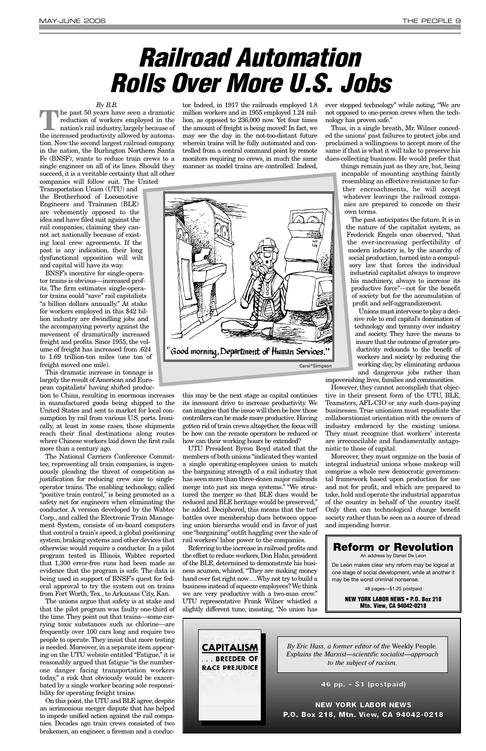*By B.B.*

**T**he past 50 years have seen a dramatic reduction of workers employed in the nation's rail industry, largely because of the increased productivity allowed by automation. Now the second largest railroad company in the nation, the Burlington Northern Santa Fe (BNSF), wants to reduce train crews to a single engineer on all of its lines. Should they succeed, it is a veritable certainty that all other companies will follow suit. The United

Transportation Union (UTU) and the Brotherhood of Locomotive Engineers and Trainmen (BLE) are vehemently opposed to the idea and have filed suit against the rail companies, claiming they cannot act nationally because of existing local crew agreements. If the past is any indication, their long dysfunctional opposition will wilt and capital will have its way.

BNSF's incentive for single-operator trains is obvious—increased profits. The firm estimates single-operator trains could "save" rail capitalists "a billion dollars annually." At stake for workers employed in this \$42 billion industry are dwindling jobs and the accompanying poverty against the movement of dramatically increased freight and profits. Since 1955, the volume of freight has increased from .624 to 1.69 trillion-ton miles (one ton of freight moved one mile).

This dramatic increase in tonnage is largely the result of American and European capitalists' having shifted produc-

tion to China, resulting in enormous increases in manufactured goods being shipped to the United States and sent to market for local consumption by rail from various U.S. ports. Ironically, at least in some cases, these shipments reach their final destinations along routes where Chinese workers laid down the first rails more than a century ago.

The National Carriers Conference Committee, representing all train companies, is ingenuously pleading the threat of competition as justification for reducing crew size to singleoperator trains. The enabling technology, called "positive train control," is being promoted as a safety net for engineers when eliminating the conductor. A version developed by the Wabtec Corp., and called the Electronic Train Management System, consists of on-board computers that control a train's speed, a global positioning system, braking systems and other devices that otherwise would require a conductor. In a pilot program tested in Illinois, Wabtec reported that 1,300 error-free runs had been made as evidence that the program is safe. The data is being used in support of BNSF's quest for federal approval to try the system out on trains from Fort Worth, Tex., to Arkansas City, Kan. The unions argue that safety is at stake and that the pilot program was faulty one-third of the time.They point out that trains—some carrying toxic substances such as chlorine—are frequently over 100 cars long and require two people to operate. They insist that more testing is needed. Moreover, in a separate item appearing on the UTU website entitled "Fatigue," it is reasonably argued that fatigue "is the numberone danger facing transportation workers today," a risk that obviously would be exacerbated by a single worker bearing sole responsibility for operating freight trains. On this point, the UTU and BLE agree, despite an acrimonious merger dispute that has helped to impede unified action against the rail companies. Decades ago train crews consisted of two brakemen, an engineer, a fireman and a conduc-

the effort to reduce workers, Don Hahs, president of the BLE, determined to demonstrate his business acumen, whined, "They are making money hand over fist right now….Why not try to build a business instead of squeeze employees? We think we are very productive with a two-man crew." UTU representative Frank Wilner whistled a slightly different tune, insisting, "No union has

tor. Indeed, in 1917 the railroads employed 1.8 million workers and in 1955 employed 1.24 million, as opposed to 236,000 now. Yet four times the amount of freight is being moved! In fact, we may see the day in the not-too-distant future wherein trains will be fully automated and controlled from a central command point by remote monitors requiring no crews, in much the same manner as model trains are controlled. Indeed,

this may be the next stage as capital continues its incessant drive to increase productivity. We can imagine that the issue will then be how those controllers can be made more productive.Having gotten rid of train crews altogether, the focus will be how can the remote operators be reduced or how can their working hours be extended?

UTU President Byron Boyd stated that the members of both unions "indicated they wanted a single operating-employees union to match the bargaining strength of a rail industry that has seen more than three-dozen major railroads merge into just six mega systems." "We structured the merger so that BLE dues would be reduced and BLE heritage would be preserved," he added. Deciphered, this means that the turf battles over membership dues between opposing union hierarchs would end in favor of just one "bargaining" outfit haggling over the sale of rail workers' labor power to the companies.

Referring to the increase in railroad profits and

ever stopped technology" while noting, "We are not opposed to one-person crews when the technology has proven safe."

Thus, in a single breath, Mr. Wilner conceded the unions' past failures to protect jobs and proclaimed a willingness to accept more of the same if that is what it will take to preserve his dues-collecting business. He would prefer that

things remain just as they are, but, being incapable of mounting anything faintly resembling an effective resistance to further encroachments, he will accept whatever leavings the railroad companies are prepared to concede on their own terms.

The past anticipates the future. It is in the nature of the capitalist system, as Frederick Engels once observed, "that the ever-increasing perfectibility of modern industry is, by the anarchy of social production, turned into a compulsory law that forces the individual industrial capitalist always to improve his machinery, always to increase its productive force"—not for the benefit of society but for the accumulation of profit and self-aggrandizement.

Unions must intervene to play a decisive role to end capital's domination of technology and tyranny over industry and society. They have the means to insure that the outcome of greater productivity redounds to the benefit of workers and society by reducing the working day, by eliminating arduous and dangerous jobs rather than

impoverishing lives, families and communities.

However, they cannot accomplish that objective in their present form of the UTU, BLE, Teamsters, AFL-CIO or any such dues-paying businesses. True unionism must repudiate the collaborationist orientation with the owners of industry embraced by the existing unions. They must recognize that workers' interests are irreconcilable and fundamentally antagonistic to those of capital.

Moreover, they must organize on the basis of integral industrial unions whose makeup will comprise a whole new democratic governmental framework based upon production for use and not for profit, and which are prepared to take, hold and operate the industrial apparatus of the country in behalf of the country itself. Only then can technological change benefit society rather than be seen as a source of dread and impending horror.

## **Railroad Automation Rolls Over More U.S. Jobs**





### **Reform or Revolution**

An address by Daniel De Leon

De Leon makes clear why reform may be logical at one stage of social development, while at another it may be the worst criminal nonsense.

48 pages—\$1.25 postpaid

**NEW YORK LABOR NEWS • P.O. Box 218 Mtn. View, CA 94042-0218**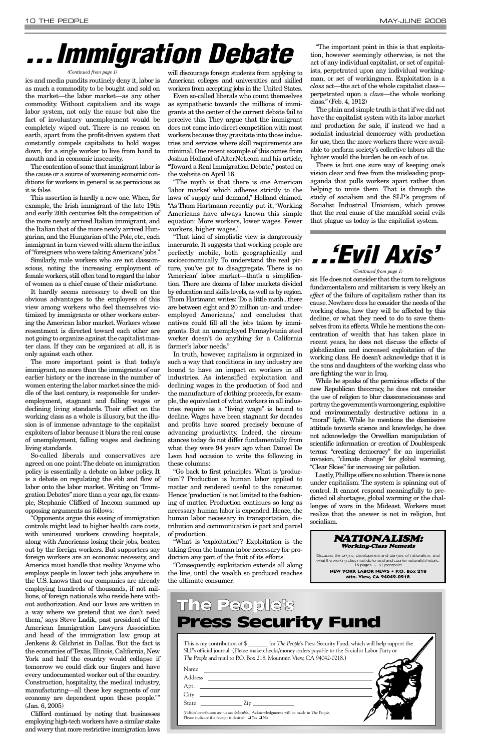ics and media pundits routinely deny it, labor is as much a commodity to be bought and sold on the market—the labor market—as any other commodity. Without capitalism and its wage labor system, not only the cause but also the fact of involuntary unemployment would be completely wiped out. There is no reason on earth, apart from the profit-driven system that constantly compels capitalists to hold wages down, for a single worker to live from hand to mouth and in economic insecurity.

The contention of some that immigrant labor is the cause or a source of worsening economic conditions for workers in general is as pernicious as it is false.

This assertion is hardly a new one. When, for example, the Irish immigrant of the late 19th and early 20th centuries felt the competition of the more newly arrived Italian immigrant, and the Italian that of the more newly arrived Hungarian, and the Hungarian of the Pole, etc., each immigrant in turn viewed with alarm the influx of "foreigners who were taking Americans' jobs."

Similarly, male workers who are not classconscious, noting the increasing employment of female workers,still often tend to regard the labor of women as a chief cause of their misfortune.

It hardly seems necessary to dwell on the obvious advantages to the employers of this view among workers who feel themselves victimized by immigrants or other workers entering the American labor market. Workers whose resentment is directed toward each other are not going to organize against the capitalist master class. If they can be organized at all, it is only against each other.

The more important point is that today's immigrant, no more than the immigrants of our earlier history or the increase in the number of women entering the labor market since the middle of the last century, is responsible for underemployment, stagnant and falling wages or declining living standards. Their effect on the working class as a whole is illusory, but the illusion is of immense advantage to the capitalist exploiters of labor because it blurs the real cause of unemployment, falling wages and declining living standards.

So-called liberals and conservatives are agreed on one point:The debate on immigration policy is essentially a debate on labor policy. It is a debate on regulating the ebb and flow of labor onto the labor market. Writing on "Immigration Debates"more than a year ago,for example, Stephanie Clifford of Inc.com summed up opposing arguments as follows:

"Opponents argue this easing of immigration controls might lead to higher health care costs, with uninsured workers crowding hospitals, along with Americans losing their jobs, beaten out by the foreign workers. But supporters say

foreign workers are an economic necessity, and America must handle that reality. 'Anyone who employs people in lower tech jobs anywhere in the U.S. knows that our companies are already employing hundreds of thousands, if not millions, of foreign nationals who reside here without authorization. And our laws are written in a way where we pretend that we don't need them,' says Steve Ladik, past president of the American Immigration Lawyers Association and head of the immigration law group at Jenkens & Gilchrist in Dallas. 'But the fact is the economies of Texas, Illinois, California, New York and half the country would collapse if tomorrow we could click our fingers and have every undocumented worker out of the country. Construction, hospitality, the medical industry, manufacturing—all these key segments of our economy are dependent upon these people.'" (Jan. 6, 2005)

Clifford continued by noting that businesses employing high-tech workers have a similar stake and worry that more restrictive immigration laws

will discourage foreign students from applying to American colleges and universities and skilled workers from accepting jobs in the United States.

Even so-called liberals who count themselves as sympathetic towards the millions of immigrants at the center of the current debate fail to perceive this. They argue that the immigrant does not come into direct competition with most workers because they gravitate into those industries and services where skill requirements are minimal.One recent example of this comes from Joshua Holland of AlterNet.com and his article, "Toward a Real Immigration Debate," posted on the website on April 16.

"The myth is that there is one American 'labor market' which adheres strictly to the laws of supply and demand," Holland claimed. "As Thom Hartmann recently put it, 'Working Americans have always known this simple equation: More workers, lower wages. Fewer workers, higher wages.'

"That kind of simplistic view is dangerously inaccurate. It suggests that working people are perfectly mobile, both geographically and socioeconomically. To understand the real picture, you've got to disaggregate. There is no 'American' labor market—that's a simplification. There are dozens of labor markets divided by education and skills levels,as well as by region. Thom Hartmann writes: 'Do a little math...there are between eight and 20 million un- and underemployed Americans,' and concludes that natives could fill all the jobs taken by immigrants. But an unemployed Pennsylvania steel worker doesn't do anything for a California farmer's labor needs."

In truth, however, capitalism is organized in such a way that conditions in any industry are bound to have an impact on workers in all industries. As intensified exploitation and declining wages in the production of food and the manufacture of clothing proceeds, for example, the equivalent of what workers in all industries require as a "living wage" is bound to decline. Wages have been stagnant for decades and profits have soared precisely because of advancing productivity. Indeed, the circumstances today do not differ fundamentally from what they were 94 years ago when Daniel De Leon had occasion to write the following in these columns:

"Go back to first principles. What is 'production'? Production is human labor applied to matter and rendered useful to the consumer. Hence:'production' is not limited to the fashioning of matter. Production continues so long as necessary human labor is expended. Hence, the human labor necessary in transportation, distribution and communication is part and parcel of production.

"What is 'exploitation'? Exploitation is the taking from the human labor necessary for production any part of the fruit of its efforts. "Consequently, exploitation extends all along the line, until the wealth so produced reaches the ultimate consumer.

"The important point in this is that exploitation, however seemingly otherwise, is not the act of any individual capitalist, or set of capitalists, perpetrated upon any individual workingman, or set of workingmen. Exploitation is a *class* act—the act of the whole capitalist class perpetrated upon a *class*—the whole working class." (Feb. 4, 1912)

The plain and simple truth is that if we did not have the capitalist system with its labor market and production for sale, if instead we had a socialist industrial democracy with production for use, then the more workers there were available to perform society's collective labors all the lighter would the burden be on each of us.

There is but one sure way of keeping one's vision clear and free from the misleading propaganda that pulls workers apart rather than helping to unite them. That is through the study of socialism and the SLP's program of Socialist Industrial Unionism, which proves that the real cause of the manifold social evils that plague us today is the capitalist system.

## **. . .Immigration Debate**

#### *(Continued from page 1)*

This is my contribution of \$ \_\_\_\_\_\_\_ for *The People*'s Press Security Fund, which will help support the SLP's official journal. (Please make checks/money orders payable to the Socialist Labor Party or *The People* and mail to P.O. Box 218, Mountain View, CA 94042-0218.)

| Name                                                                                                                                                                                                                                                                                                                                                                                                                          |  |
|-------------------------------------------------------------------------------------------------------------------------------------------------------------------------------------------------------------------------------------------------------------------------------------------------------------------------------------------------------------------------------------------------------------------------------|--|
| Address<br><u> 1989 - Andrea Andrew Maria (h. 1989).</u><br>1905 - Andrew Maria (h. 1906).                                                                                                                                                                                                                                                                                                                                    |  |
| Apt.                                                                                                                                                                                                                                                                                                                                                                                                                          |  |
| City<br><u> 1989 - Andrea Station, amerikansk politiker (d. 1989)</u>                                                                                                                                                                                                                                                                                                                                                         |  |
| State<br>$\frac{1}{\sqrt{1-\frac{1}{2}}\sqrt{1-\frac{1}{2}}\sqrt{1-\frac{1}{2}}\sqrt{1-\frac{1}{2}}\sqrt{1-\frac{1}{2}}\sqrt{1-\frac{1}{2}}\sqrt{1-\frac{1}{2}}\sqrt{1-\frac{1}{2}}\sqrt{1-\frac{1}{2}}\sqrt{1-\frac{1}{2}}\sqrt{1-\frac{1}{2}}\sqrt{1-\frac{1}{2}}\sqrt{1-\frac{1}{2}}\sqrt{1-\frac{1}{2}}\sqrt{1-\frac{1}{2}}\sqrt{1-\frac{1}{2}}\sqrt{1-\frac{1}{2}}\sqrt{1-\frac{1}{2}}\sqrt{1-\frac{1}{2}}\sqrt{1-\frac$ |  |
| (Political contributions are not tax deductible.) Acknowledgments will be made in The People.<br>Please indicate if a receipt is desired: $\Box$ Yes $\Box$ No                                                                                                                                                                                                                                                                |  |

### The People's Press Security Fund

sis.He does not consider that the turn to religious fundamentalism and militarism is very likely an *effect* of the failure of capitalism rather than its cause. Nowhere does he consider the needs of the working class, how they will be affected by this decline, or what they need to do to save themselves from its effects.While he mentions the concentration of wealth that has taken place in recent years, he does not discuss the effects of globalization and increased exploitation of the working class. He doesn't acknowledge that it is the sons and daughters of the working class who are fighting the war in Iraq.

While he speaks of the pernicious effects of the new Republican theocracy, he does not consider the use of religion to blur classconsciousness and portray the government's warmongering,exploitive and environmentally destructive actions in a "moral" light. While he mentions the dismissive attitude towards science and knowledge, he does not acknowledge the Orwellian manipulation of scientific information or creation of Doublespeak terms: "creating democracy" for an imperialist invasion, "climate change" for global warming, "Clear Skies" for increasing air pollution.

Lastly,Phillips offers no solution.There is none under capitalism. The system is spinning out of control. It cannot respond meaningfully to predicted oil shortages, global warming or the challenges of wars in the Mideast. Workers must realize that the answer is not in religion, but socialism.

## **. . .'Evil Axis'**

#### *(Continued from page 1)*

NATIONALISM: Working-Class Nemesis

Discusses the origins, development and dangers of nationalism, and what the working class must do to resist and counter nationalist rhetoric. 16 pages – \$1 postpaid **NEW YORK LABOR NEWS • P.O. Box 218**

**Mtn. View, CA 94042-0218**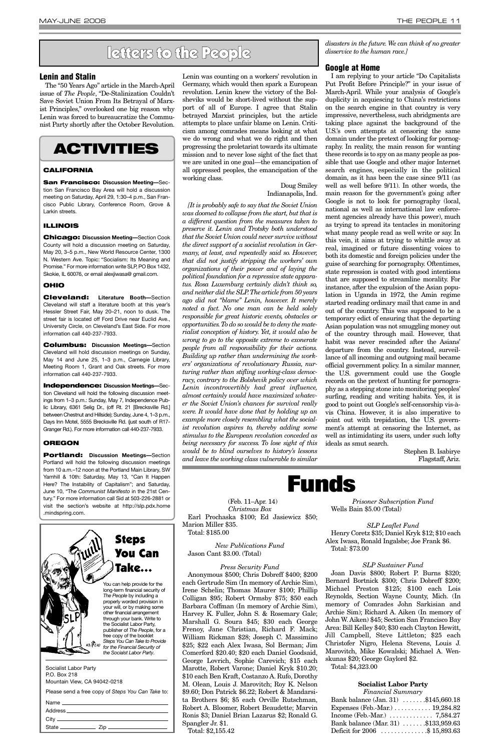Socialist Labor Party P.O. Box 218 Mountain View, CA 94042-0218

| Name                    |     |
|-------------------------|-----|
| Address <sub>———</sub>  |     |
| $\operatorname{City} =$ |     |
| State                   | Zip |



long-term financial security of properly worded provision in your will, or by making some other financial arrangement through your bank. Write to the Socialist Labor Party, publisher of *The People*, for a free copy of the booklet *Steps You Can Take to Provide* 48 Pr AP *for the Financial Security of the Socialst Labor Party*.

### **Lenin and Stalin**

The "50 Years Ago" article in the March-April issue of *The People*, "De-Stalinization Couldn't Save Soviet Union From Its Betrayal of Marxist Principles," overlooked one big reason why Lenin was forced to bureaucratize the Communist Party shortly after the October Revolution. Lenin was counting on a workers' revolution in Germany, which would then spark a European revolution. Lenin knew the victory of the Bolsheviks would be short-lived without the support of all of Europe. I agree that Stalin betrayed Marxist principles, but the article attempts to place unfair blame on Lenin. Criticism among comrades means looking at what we do wrong and what we do right and then progressing the proletariat towards its ultimate mission and to never lose sight of the fact that we are united in one goal—the emancipation of all oppressed peoples, the emancipation of the working class.

#### Doug Smiley Indianapolis, Ind.

*[It is probably safe to say that the Soviet Union was doomed to collapse from the start, but that is a different question from the measures taken to preserve it. Lenin and Trotsky both understood that the Soviet Union could never survive without the direct support of a socialist revolution in Germany, at least, and repeatedly said so. However, that did not justify stripping the workers' own organizations of their power and of laying the political foundation for a repressive state apparatus. Rosa Luxemburg certainly didn't think so, and neither did the SLP.The article from 50 years ago did not "blame" Lenin, however. It merely noted a fact. No one man can be held solely responsible for great historic events, obstacles or opportunities.To do so would be to deny the materialist conception of history. Yet, it would also be wrong to go to the opposite extreme to exonerate people from all responsibility for their actions. Building up rather than undermining the workers' organizations of revolutionary Russia, nurturing rather than stifling working-class democracy, contrary to the Bolshevik policy over which Lenin incontrovertibly had great influence, almost certainly would have maximized whatever the Soviet Union's chances for survival really were. It would have done that by holding up an example more closely resembling what the socialist revolution aspires to, thereby adding some stimulus to the European revolution conceded as being necessary for success. To lose sight of this would be to blind ourselves to history's lessons and leave the working class vulnerable to similar* *disasters in the future.We can think of no greater disservice to the human race.]*

### **Google at Home**

| Bank balance (Jan. 31) \$145,660.18                       |  |
|-----------------------------------------------------------|--|
| Expenses (Feb.-Mar.) $\dots \dots \dots 19,284.82$        |  |
| Income (Feb.-Mar.) $\ldots \ldots \ldots \ldots$ 7,584.27 |  |
| Bank balance (Mar. 31) \$133,959.63                       |  |
| Deficit for 2006 \$ 15,893.63                             |  |

I am replying to your article "Do Capitalists Put Profit Before Principle?" in your issue of March-April. While your analysis of Google's duplicity in acquiescing to China's restrictions on the search engine in that country is very impressive, nevertheless, such abridgments are taking place against the background of the U.S.'s own attempts at censoring the same domain under the pretext of looking for pornography. In reality, the main reason for wanting these records is to spy on as many people as possible that use Google and other major Internet search engines, especially in the political domain, as it has been the case since 9/11 (as well as well before 9/11). In other words, the main reason for the government's going after Google is not to look for pornography (local, national as well as international law enforcement agencies already have this power), much as trying to spread its tentacles in monitoring what many people read as well write or say. In this vein, it aims at trying to whittle away at real, imagined or future dissenting voices to both its domestic and foreign policies under the guise of searching for pornography. Oftentimes, state repression is coated with good intentions that are supposed to streamline morality. For instance, after the expulsion of the Asian population in Uganda in 1972, the Amin regime started reading ordinary mail that came in and out of the country. This was supposed to be a temporary edict of ensuring that the departing Asian population was not smuggling money out of the country through mail. However, that habit was never rescinded after the Asians' departure from the country. Instead, surveillance of all incoming and outgoing mail became official government policy. In a similar manner, the U.S. government could use the Google records on the pretext of hunting for pornography as a stepping stone into monitoring peoples' surfing, reading and writing habits. Yes, it is good to point out Google's self-censorship vis-àvis China. However, it is also imperative to point out with trepidation, the U.S. government's attempt at censoring the Internet, as well as intimidating its users, under such lofty ideals as smut search.

> Stephen B. Isabirye Flagstaff, Ariz.

(Feb. 11–Apr. 14)

*Christmas Box* Earl Prochaska \$100; Ed Jasiewicz \$50; Marion Miller \$35. Total: \$185.00

*New Publications Fund*

Jason Cant \$3.00. (Total)

#### *Press Security Fund*

Anonymous \$500; Chris Dobreff \$400; \$200 each Gertrude Sim (In memory of Archie Sim), Irene Schelin; Thomas Maurer \$100; Phillip Colligan \$95; Robert Ormsby \$75; \$50 each Barbara Coffman (In memory of Archie Sim), Harvey K. Fuller, John S. & Rosemary Gale; Marshall G. Soura \$45; \$30 each George Frenoy, Jane Christian, Richard F. Mack; William Rickman \$28; Joseph C. Massimino \$25; \$22 each Alex Iwasa, Sol Berman; Jim Comerford \$20.40; \$20 each Daniel Goodsaid, George Lovrich, Sophie Carevich; \$15 each Marotte, Robert Varone; Daniel Kryk \$10.20; \$10 each Ben Kraft, Costanzo A. Rufo, Dorothy M. Olean, Louis J. Marovitch; Roy K. Nelson \$9.60; Don Patrick \$6.22; Robert & Mandarsita Brothers \$6; \$5 each Orville Rutschman, Robert A. Bloomer, Robert Beaudette; Marvin Ronis \$3; Daniel Brian Lazarus \$2; Ronald G. Spangler Jr. \$1. Total: \$2,155.42

*Prisoner Subscription Fund* Wells Bain \$5.00 (Total)

*SLP Leaflet Fund* Henry Coretz \$35; Daniel Kryk \$12; \$10 each Alex Iwasa, Ronald Ingalsbe; Joe Frank \$6. Total: \$73.00

#### *SLP Sustainer Fund*

Joan Davis \$800; Robert P. Burns \$320; Bernard Bortnick \$300; Chris Dobreff \$200; Michael Preston \$125; \$100 each Lois Reynolds, Section Wayne County, Mich. (In memory of Comrades John Sarkisian and Archie Sim); Richard A. Aiken (In memory of John W. Aiken) \$45; Section San Francisco Bay Area: Bill Kelley \$40; \$30 each Clayton Hewitt, Jill Campbell, Steve Littleton; \$25 each Christofer Nigro, Helena Stevens, Louis J. Marovitch, Mike Kowalski; Michael A. Wenskunas \$20; George Gaylord \$2.

Total: \$4,323.00

#### **Socialist Labor Party**

*Financial Summary*

### **Funds**

### letters to the People

### **ACTIVITIES**

### **CALIFORNIA**

**San Francisco: Discussion Meeting—**Section San Francisco Bay Area will hold a discussion meeting on Saturday, April 29, 1:30–4 p.m., San Francisco Public Library, Conference Room, Grove & Larkin streets.

### **ILLINOIS**

**Chicago: Discussion Meeting—**Section Cook County will hold a discussion meeting on Saturday, May 20, 3–5 p.m., New World Resource Center, 1300 N. Western Ave. Topic: "Socialism: Its Meaning and Promise." For more information write SLP, PO Box 1432, Skokie, IL 60076, or email alexjiwasa@ gmail.com.

### **OHIO**

**Cleveland: Literature Booth—**Section Cleveland will staff a literature booth at this year's Hessler Street Fair, May 20–21, noon to dusk. The street fair is located off Ford Drive near Euclid Ave., University Circle, on Cleveland's East Side. For more information call 440-237-7933.

**Columbus: Discussion Meetings—**Section Cleveland will hold discussion meetings on Sunday, May 14 and June 25, 1–3 p.m., Carnegie Library, Meeting Room 1, Grant and Oak streets. For more information call 440-237-7933.

**Independence: Discussion Meetings—**Section Cleveland will hold the following discussion meetings from 1–3 p.m.: Sunday, May 7, Independence Public Library, 6361 Selig Dr., (off Rt. 21 [Brecksville Rd.] between Chestnut and Hillside); Sunday, June 4, 1–3 p.m., Days Inn Motel, 5555 Brecksville Rd. (just south of R17- Granger Rd.). For more information call 440-237-7933.

#### **OREGON**

**Portland: Discussion Meetings—**Section Portland will hold the following discussion meetings from 10 a.m.–12 noon at the Portland Main Library, SW Yamhill & 10th: Saturday, May 13, "Can It Happen Here? The Instability of Capitalism"; and Saturday, June 10, "The *Communist Manifesto* in the 21st Century." For more information call Sid at 503-226-2881 or visit the section's website at http://slp.pdx.home .mindspring.com.